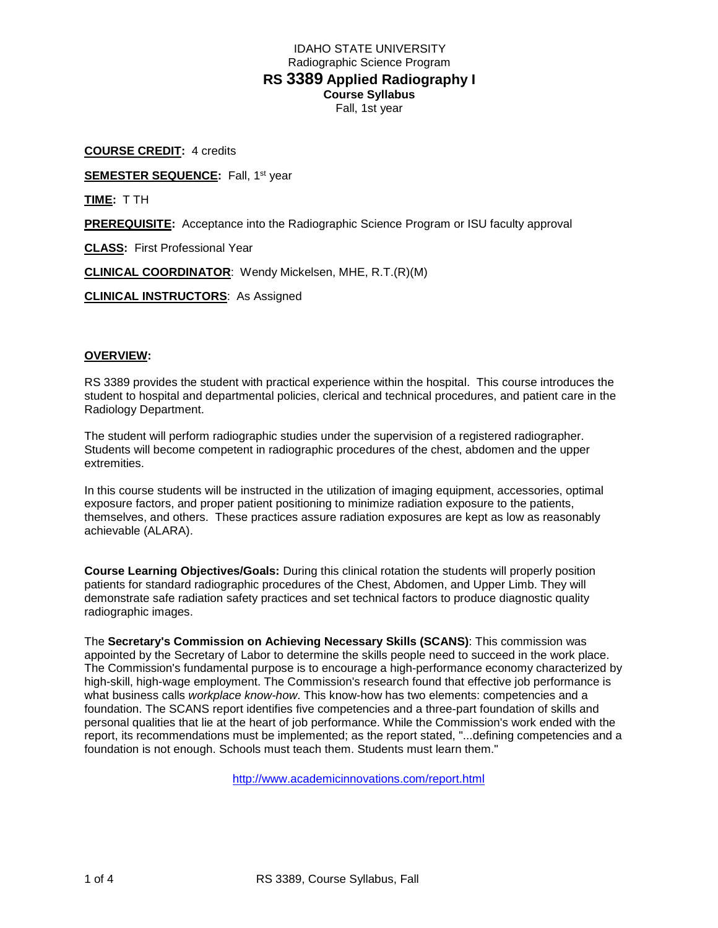# IDAHO STATE UNIVERSITY Radiographic Science Program **RS 3389 Applied Radiography I Course Syllabus** Fall, 1st year

**COURSE CREDIT:** 4 credits **SEMESTER SEQUENCE:** Fall, 1st year **TIME:** T TH **PREREQUISITE:** Acceptance into the Radiographic Science Program or ISU faculty approval **CLASS:** First Professional Year **CLINICAL COORDINATOR**: Wendy Mickelsen, MHE, R.T.(R)(M) **CLINICAL INSTRUCTORS**: As Assigned

# **OVERVIEW:**

RS 3389 provides the student with practical experience within the hospital. This course introduces the student to hospital and departmental policies, clerical and technical procedures, and patient care in the Radiology Department.

The student will perform radiographic studies under the supervision of a registered radiographer. Students will become competent in radiographic procedures of the chest, abdomen and the upper extremities.

In this course students will be instructed in the utilization of imaging equipment, accessories, optimal exposure factors, and proper patient positioning to minimize radiation exposure to the patients, themselves, and others. These practices assure radiation exposures are kept as low as reasonably achievable (ALARA).

**Course Learning Objectives/Goals:** During this clinical rotation the students will properly position patients for standard radiographic procedures of the Chest, Abdomen, and Upper Limb. They will demonstrate safe radiation safety practices and set technical factors to produce diagnostic quality radiographic images.

The **Secretary's Commission on Achieving Necessary Skills (SCANS)**: This commission was appointed by the Secretary of Labor to determine the skills people need to succeed in the work place. The Commission's fundamental purpose is to encourage a high-performance economy characterized by high-skill, high-wage employment. The Commission's research found that effective job performance is what business calls *workplace know-how*. This know-how has two elements: competencies and a foundation. The SCANS report identifies five competencies and a three-part foundation of skills and personal qualities that lie at the heart of job performance. While the Commission's work ended with the report, its recommendations must be implemented; as the report stated, "...defining competencies and a foundation is not enough. Schools must teach them. Students must learn them."

<http://www.academicinnovations.com/report.html>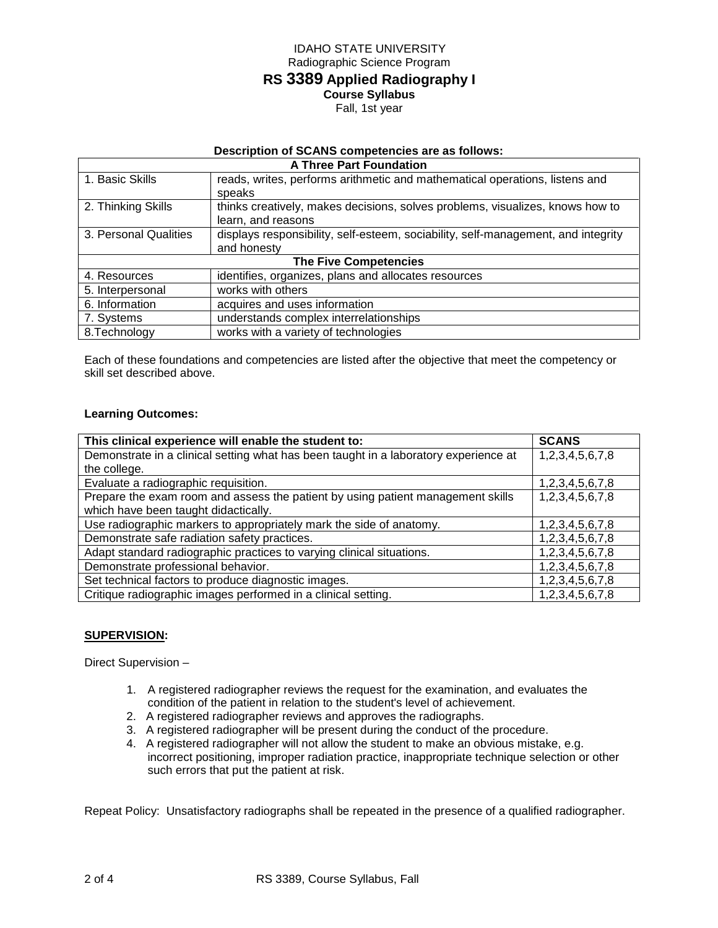# IDAHO STATE UNIVERSITY Radiographic Science Program **RS 3389 Applied Radiography I Course Syllabus** Fall, 1st year

# **Description of SCANS competencies are as follows:**

| <b>A Three Part Foundation</b> |                                                                                   |  |  |
|--------------------------------|-----------------------------------------------------------------------------------|--|--|
| 1. Basic Skills                | reads, writes, performs arithmetic and mathematical operations, listens and       |  |  |
|                                | speaks                                                                            |  |  |
| 2. Thinking Skills             | thinks creatively, makes decisions, solves problems, visualizes, knows how to     |  |  |
|                                | learn, and reasons                                                                |  |  |
| 3. Personal Qualities          | displays responsibility, self-esteem, sociability, self-management, and integrity |  |  |
|                                | and honesty                                                                       |  |  |
| <b>The Five Competencies</b>   |                                                                                   |  |  |
| 4. Resources                   | identifies, organizes, plans and allocates resources                              |  |  |
| 5. Interpersonal               | works with others                                                                 |  |  |
| 6. Information                 | acquires and uses information                                                     |  |  |
| 7. Systems                     | understands complex interrelationships                                            |  |  |
| 8. Technology                  | works with a variety of technologies                                              |  |  |

Each of these foundations and competencies are listed after the objective that meet the competency or skill set described above.

# **Learning Outcomes:**

| This clinical experience will enable the student to:                                 | <b>SCANS</b>    |
|--------------------------------------------------------------------------------------|-----------------|
| Demonstrate in a clinical setting what has been taught in a laboratory experience at | 1,2,3,4,5,6,7,8 |
| the college.                                                                         |                 |
| Evaluate a radiographic requisition.                                                 | 1,2,3,4,5,6,7,8 |
| Prepare the exam room and assess the patient by using patient management skills      | 1,2,3,4,5,6,7,8 |
| which have been taught didactically.                                                 |                 |
| Use radiographic markers to appropriately mark the side of anatomy.                  | 1,2,3,4,5,6,7,8 |
| Demonstrate safe radiation safety practices.                                         | 1,2,3,4,5,6,7,8 |
| Adapt standard radiographic practices to varying clinical situations.                | 1,2,3,4,5,6,7,8 |
| Demonstrate professional behavior.                                                   | 1,2,3,4,5,6,7,8 |
| Set technical factors to produce diagnostic images.                                  | 1,2,3,4,5,6,7,8 |
| Critique radiographic images performed in a clinical setting.                        | 1,2,3,4,5,6,7,8 |

# **SUPERVISION:**

Direct Supervision –

- 1. A registered radiographer reviews the request for the examination, and evaluates the condition of the patient in relation to the student's level of achievement.
- 2. A registered radiographer reviews and approves the radiographs.
- 3. A registered radiographer will be present during the conduct of the procedure.
- 4. A registered radiographer will not allow the student to make an obvious mistake, e.g. incorrect positioning, improper radiation practice, inappropriate technique selection or other such errors that put the patient at risk.

Repeat Policy: Unsatisfactory radiographs shall be repeated in the presence of a qualified radiographer.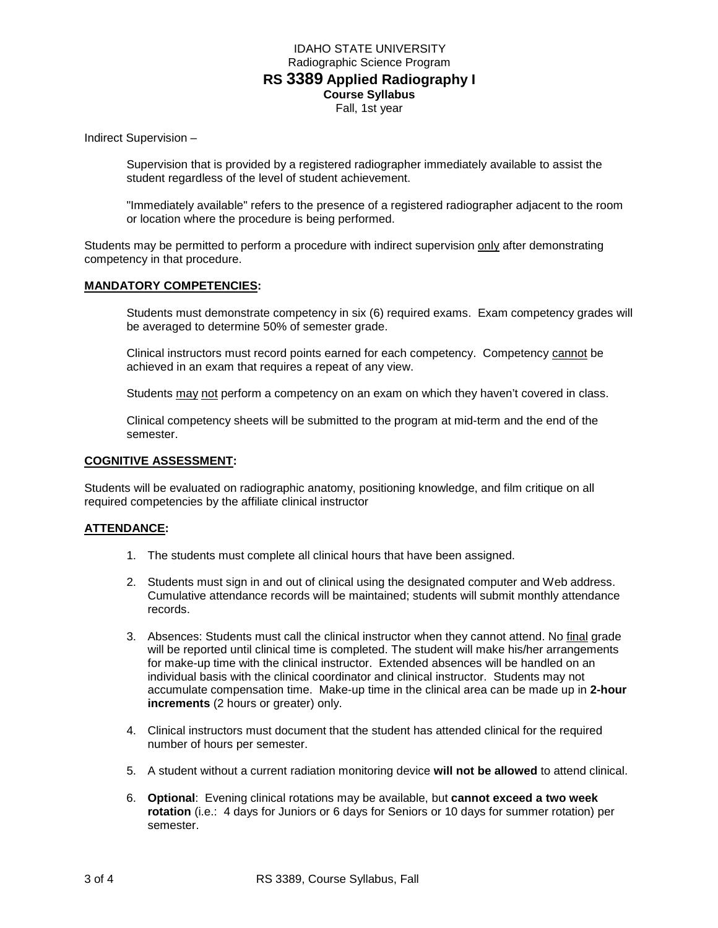# IDAHO STATE UNIVERSITY Radiographic Science Program **RS 3389 Applied Radiography I Course Syllabus** Fall, 1st year

Indirect Supervision –

Supervision that is provided by a registered radiographer immediately available to assist the student regardless of the level of student achievement.

"Immediately available" refers to the presence of a registered radiographer adjacent to the room or location where the procedure is being performed.

Students may be permitted to perform a procedure with indirect supervision only after demonstrating competency in that procedure.

#### **MANDATORY COMPETENCIES:**

Students must demonstrate competency in six (6) required exams. Exam competency grades will be averaged to determine 50% of semester grade.

Clinical instructors must record points earned for each competency. Competency cannot be achieved in an exam that requires a repeat of any view.

Students may not perform a competency on an exam on which they haven't covered in class.

Clinical competency sheets will be submitted to the program at mid-term and the end of the semester.

#### **COGNITIVE ASSESSMENT:**

Students will be evaluated on radiographic anatomy, positioning knowledge, and film critique on all required competencies by the affiliate clinical instructor

# **ATTENDANCE:**

- 1. The students must complete all clinical hours that have been assigned.
- 2. Students must sign in and out of clinical using the designated computer and Web address. Cumulative attendance records will be maintained; students will submit monthly attendance records.
- 3. Absences: Students must call the clinical instructor when they cannot attend. No final grade will be reported until clinical time is completed. The student will make his/her arrangements for make-up time with the clinical instructor. Extended absences will be handled on an individual basis with the clinical coordinator and clinical instructor. Students may not accumulate compensation time. Make-up time in the clinical area can be made up in **2-hour increments** (2 hours or greater) only.
- 4. Clinical instructors must document that the student has attended clinical for the required number of hours per semester.
- 5. A student without a current radiation monitoring device **will not be allowed** to attend clinical.
- 6. **Optional**: Evening clinical rotations may be available, but **cannot exceed a two week rotation** (i.e.: 4 days for Juniors or 6 days for Seniors or 10 days for summer rotation) per semester.